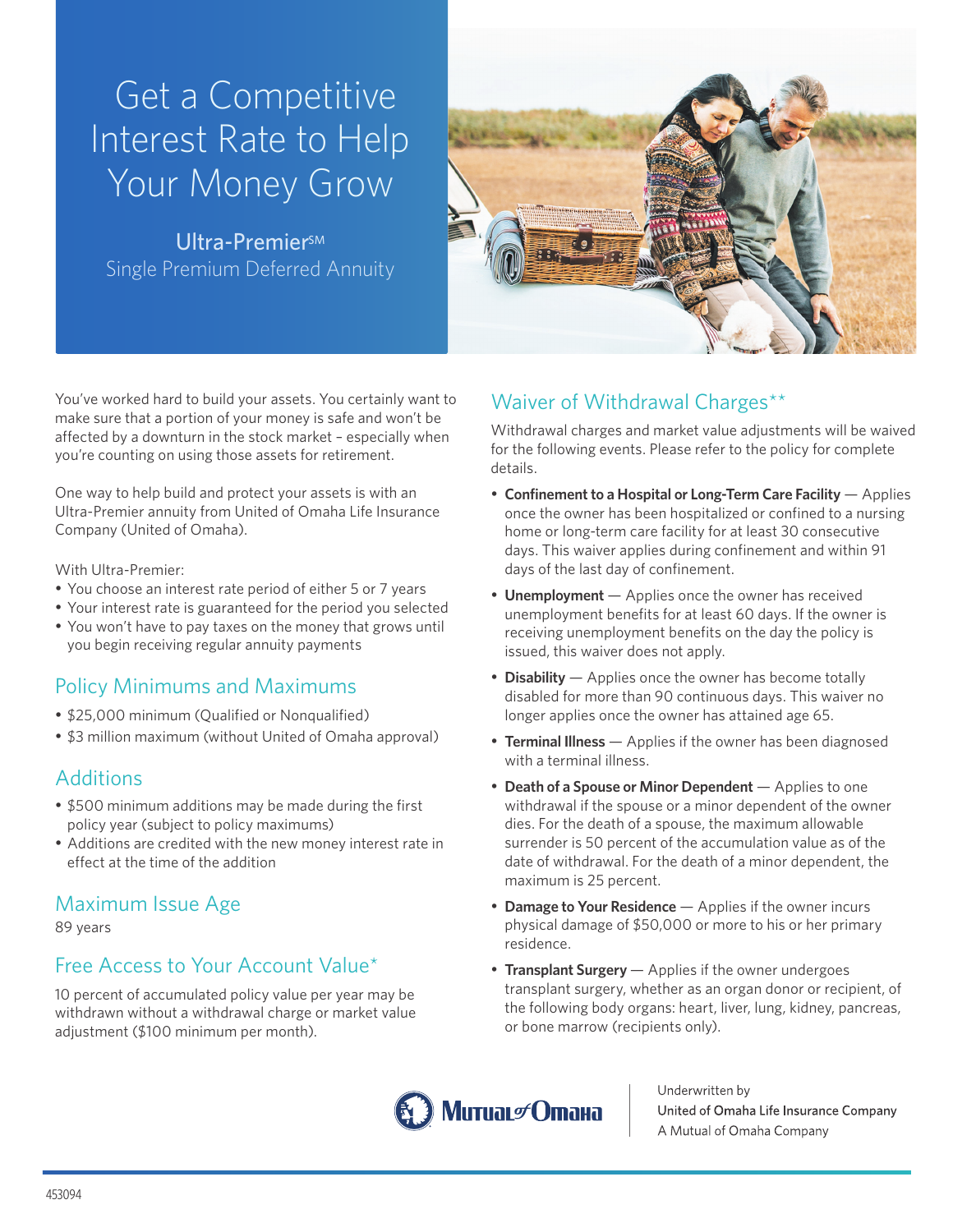# Get a Competitive Interest Rate to Help Your Money Grow

Ultra-Premier<sup>sM</sup> Single Premium Deferred Annuity



You've worked hard to build your assets. You certainly want to make sure that a portion of your money is safe and won't be affected by a downturn in the stock market – especially when you're counting on using those assets for retirement.

One way to help build and protect your assets is with an Ultra-Premier annuity from United of Omaha Life Insurance Company (United of Omaha).

With Ultra-Premier:

- You choose an interest rate period of either 5 or 7 years
- Your interest rate is guaranteed for the period you selected
- You won't have to pay taxes on the money that grows until you begin receiving regular annuity payments

## Policy Minimums and Maximums

- \$25,000 minimum (Qualified or Nonqualified)
- \$3 million maximum (without United of Omaha approval)

## **Additions**

- • \$500 minimum additions may be made during the first policy year (subject to policy maximums)
- Additions are credited with the new money interest rate in effect at the time of the addition

## Maximum Issue Age

89 years

## Free Access to Your Account Value\*

10 percent of accumulated policy value per year may be withdrawn without a withdrawal charge or market value adjustment (\$100 minimum per month).

## Waiver of Withdrawal Charges\*\*

Withdrawal charges and market value adjustments will be waived for the following events. Please refer to the policy for complete details.

- • **Confinement to a Hospital or Long-Term Care Facility** Applies once the owner has been hospitalized or confined to a nursing home or long-term care facility for at least 30 consecutive days. This waiver applies during confinement and within 91 days of the last day of confinement.
- **Unemployment** Applies once the owner has received unemployment benefits for at least 60 days. If the owner is receiving unemployment benefits on the day the policy is issued, this waiver does not apply.
- **Disability** Applies once the owner has become totally disabled for more than 90 continuous days. This waiver no longer applies once the owner has attained age 65.
- **Terminal Illness** Applies if the owner has been diagnosed with a terminal illness.
- • **Death of a Spouse or Minor Dependent** Applies to one withdrawal if the spouse or a minor dependent of the owner dies. For the death of a spouse, the maximum allowable surrender is 50 percent of the accumulation value as of the date of withdrawal. For the death of a minor dependent, the maximum is 25 percent.
- **Damage to Your Residence** Applies if the owner incurs physical damage of \$50,000 or more to his or her primary residence.
- **Transplant Surgery** Applies if the owner undergoes transplant surgery, whether as an organ donor or recipient, of the following body organs: heart, liver, lung, kidney, pancreas, or bone marrow (recipients only).



Underwritten by United of Omaha Life Insurance Company A Mutual of Omaha Company